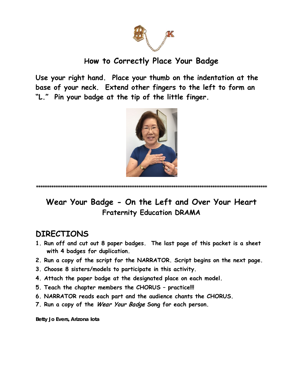

# How to Correctly Place Your Badge

Use your right hand. Place your thumb on the indentation at the base of your neck. Extend other fingers to the left to form an "L." Pin your badge at the tip of the little finger.



### Wear Your Badge - On the Left and Over Your Heart **Fraternity Education DRAMA**

### **DIRECTIONS**

- 1. Run off and cut out 8 paper badges. The last page of this packet is a sheet with 4 badges for duplication.
- 2. Run a copy of the script for the NARRATOR. Script begins on the next page.
- 3. Choose 8 sisters/models to participate in this activity.
- 4. Attach the paper badge at the designated place on each model.
- 5. Teach the chapter members the CHORUS practice!!!
- 6. NARRATOR reads each part and the audience chants the CHORUS.
- 7. Run a copy of the Wear Your Badge Song for each person.

Betty Jo Evers, Arizona lota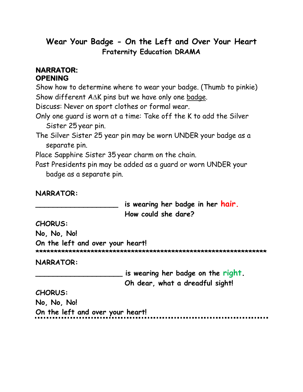## **Wear Your Badge - On the Left and Over Your Heart Fraternity Education DRAMA**

### **NARRATOR: OPENING**

Show how to determine where to wear your badge. (Thumb to pinkie) Show different A∆K pins but we have only one badge.

Discuss: Never on sport clothes or formal wear.

Only one guard is worn at a time: Take off the K to add the Silver Sister 25 year pin.

The Silver Sister 25 year pin may be worn UNDER your badge as a separate pin.

Place Sapphire Sister 35 year charm on the chain.

Past Presidents pin may be added as a guard or worn UNDER your badge as a separate pin.

**NARRATOR:**

**\_\_\_\_\_\_\_\_\_\_\_\_\_\_\_\_\_\_\_ is wearing her badge in her hair. How could she dare?**

**CHORUS:** 

**No, No, No!** 

**On the left and over your heart! \*\*\*\*\*\*\*\*\*\*\*\*\*\*\*\*\*\*\*\*\*\*\*\*\*\*\*\*\*\*\*\*\*\*\*\*\*\*\*\*\*\*\*\*\*\*\*\*\*\*\*\*\*\*\*\*\*\*\*\*\*\*\***

**NARRATOR:**

**\_\_\_\_\_\_\_\_\_\_\_\_\_\_\_\_\_\_\_\_ is wearing her badge on the right.**

**Oh dear, what a dreadful sight!**

**CHORUS:** 

**No, No, No!** 

**On the left and over your heart!**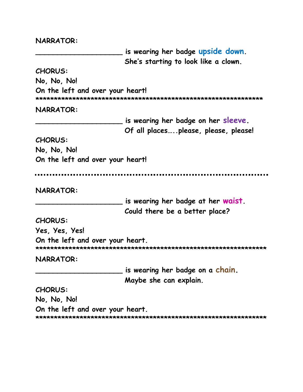#### **NARRATOR:**

is wearing her badge upside down. She's starting to look like a clown. **CHORUS:** No. No. No! On the left and over your heart! NARRATOR: is wearing her badge on her sleeve. Of all places.....please, please, please! **CHORUS:** No. No. No! On the left and over your heart! **NARRATOR:** is wearing her badge at her waist. Could there be a better place? **CHORUS:** Yes, Yes, Yes! On the left and over your heart. **NARRATOR:** is wearing her badge on a chain. Maybe she can explain. **CHORUS:** No. No. No! On the left and over your heart.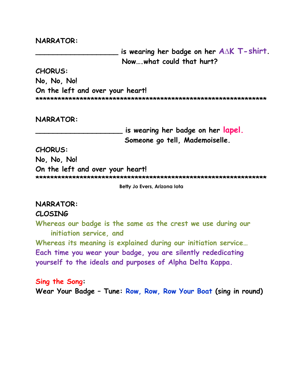#### **NARRATOR:**

**\_\_\_\_\_\_\_\_\_\_\_\_\_\_\_\_\_\_\_ is wearing her badge on her A∆K T- shirt. Now….what could that hurt?**

**CHORUS:** 

**No, No, No!** 

**On the left and over your heart!**

**\*\*\*\*\*\*\*\*\*\*\*\*\*\*\*\*\*\*\*\*\*\*\*\*\*\*\*\*\*\*\*\*\*\*\*\*\*\*\*\*\*\*\*\*\*\*\*\*\*\*\*\*\*\*\*\*\*\*\*\*\*\*\***

#### **NARRATOR:**

**\_\_\_\_\_\_\_\_\_\_\_\_\_\_\_\_\_\_\_\_ is wearing her badge on her lapel. Someone go tell, Mademoiselle.**

**CHORUS:** 

**No, No, No! On the left and over your heart! \*\*\*\*\*\*\*\*\*\*\*\*\*\*\*\*\*\*\*\*\*\*\*\*\*\*\*\*\*\*\*\*\*\*\*\*\*\*\*\*\*\*\*\*\*\*\*\*\*\*\*\*\*\*\*\*\*\*\*\*\*\*\***

**Betty Jo Evers, Arizona Iota**

#### **NARRATOR:**

#### **CLOSING**

**Whereas our badge is the same as the crest we use during our initiation service, and**

**Whereas its meaning is explained during our initiation service… Each time you wear your badge, you are silently rededicating yourself to the ideals and purposes of Alpha Delta Kappa.** 

#### **Sing the Song:**

**Wear Your Badge – Tune: Row, Row, Row Your Boat (sing in round)**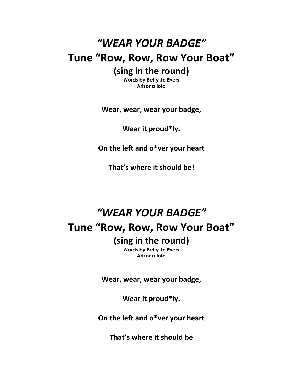# *"WEAR YOUR BADGE"* **Tune "Row, Row, Row Your Boat" (sing in the round)**

**Words by Betty Jo Evers Arizona Iota**

**Wear, wear, wear your badge,**

**Wear it proud\*ly.**

**On the left and o\*ver your heart**

**That's where it should be!**

# *"WEAR YOUR BADGE"* **Tune "Row, Row, Row Your Boat" (sing in the round)**

**Words by Betty Jo Evers Arizona Iota**

**Wear, wear, wear your badge,**

**Wear it proud\*ly.**

**On the left and o\*ver your heart**

**That's where it should be**